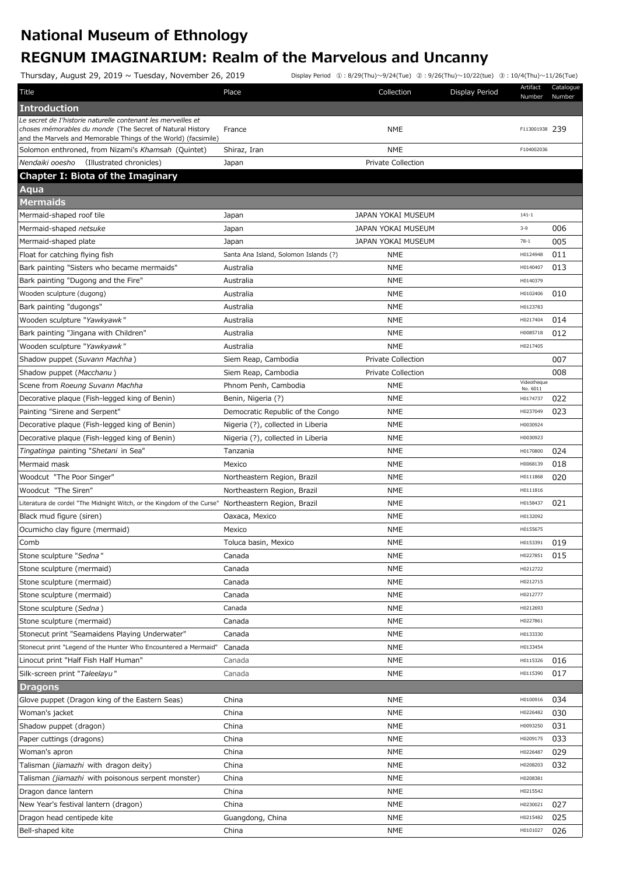## **National Museum of Ethnology REGNUM IMAGINARIUM: Realm of the Marvelous and Uncanny**

Thursday, August 29, 2019 ~ Tuesday, November 26, 2019 Display Period ①:8/29(Thu)〜9/24(Tue) ②:9/26(Thu)〜10/22(tue) ③:10/4(Thu)〜11/26(Tue)

| Title                                                                                                                       | Place                                 | Collection                | Display Period | Artifact<br>Number      | Catalogue<br>Number |
|-----------------------------------------------------------------------------------------------------------------------------|---------------------------------------|---------------------------|----------------|-------------------------|---------------------|
| <b>Introduction</b>                                                                                                         |                                       |                           |                |                         |                     |
| Le secret de I'historie naturelle contenant les merveilles et                                                               |                                       |                           |                |                         |                     |
| choses mémorables du monde (The Secret of Natural History<br>and the Marvels and Memorable Things of the World) (facsimile) | France                                | <b>NME</b>                |                | F113001938 239          |                     |
| Solomon enthroned, from Nizami's Khamsah (Quintet)                                                                          | Shiraz, Iran                          | <b>NME</b>                |                | F104002036              |                     |
| Nendaiki ooesho<br>(Illustrated chronicles)                                                                                 | Japan                                 | <b>Private Collection</b> |                |                         |                     |
| Chapter I: Biota of the Imaginary                                                                                           |                                       |                           |                |                         |                     |
| Aqua                                                                                                                        |                                       |                           |                |                         |                     |
| <b>Mermaids</b>                                                                                                             |                                       |                           |                |                         |                     |
| Mermaid-shaped roof tile                                                                                                    | Japan                                 | JAPAN YOKAI MUSEUM        |                | $141 - 1$               |                     |
| Mermaid-shaped netsuke                                                                                                      | Japan                                 | JAPAN YOKAI MUSEUM        |                | $3 - 9$                 | 006                 |
| Mermaid-shaped plate                                                                                                        | Japan                                 | JAPAN YOKAI MUSEUM        |                | $78-1$                  | 005                 |
| Float for catching flying fish                                                                                              | Santa Ana Island, Solomon Islands (?) | <b>NME</b>                |                | H0124948                | 011                 |
| Bark painting "Sisters who became mermaids"                                                                                 | Australia                             | <b>NME</b>                |                | H0140407                | 013                 |
| Bark painting "Dugong and the Fire"                                                                                         | Australia                             | <b>NME</b>                |                | H0140379                |                     |
| Wooden sculpture (dugong)                                                                                                   | Australia                             | <b>NME</b>                |                | H0102406                | 010                 |
| Bark painting "dugongs"                                                                                                     | Australia                             | <b>NME</b>                |                | H0123783                |                     |
| Wooden sculpture "Yawkyawk"                                                                                                 | Australia                             | <b>NME</b>                |                | H0217404                | 014                 |
| Bark painting "Jingana with Children"                                                                                       | Australia                             | <b>NME</b>                |                | H0085718                | 012                 |
| Wooden sculpture "Yawkyawk"                                                                                                 | Australia                             | <b>NME</b>                |                | H0217405                |                     |
| Shadow puppet (Suvann Machha)                                                                                               | Siem Reap, Cambodia                   | <b>Private Collection</b> |                |                         | 007                 |
| Shadow puppet (Macchanu)                                                                                                    | Siem Reap, Cambodia                   | <b>Private Collection</b> |                |                         | 008                 |
| Scene from Roeung Suvann Machha                                                                                             | Phnom Penh, Cambodia                  | <b>NME</b>                |                | Videotheque<br>No. 6011 |                     |
| Decorative plaque (Fish-legged king of Benin)                                                                               | Benin, Nigeria (?)                    | <b>NME</b>                |                | H0174737                | 022                 |
| Painting "Sirene and Serpent"                                                                                               | Democratic Republic of the Congo      | <b>NME</b>                |                | H0237049                | 023                 |
| Decorative plaque (Fish-legged king of Benin)                                                                               | Nigeria (?), collected in Liberia     | <b>NME</b>                |                | H0030924                |                     |
| Decorative plaque (Fish-legged king of Benin)                                                                               | Nigeria (?), collected in Liberia     | <b>NME</b>                |                | H0030923                |                     |
| Tingatinga painting "Shetani in Sea"                                                                                        | Tanzania                              | <b>NME</b>                |                | H0170800                | 024                 |
| Mermaid mask                                                                                                                | Mexico                                | <b>NME</b>                |                | H0068139                | 018                 |
| Woodcut "The Poor Singer"                                                                                                   | Northeastern Region, Brazil           | <b>NME</b>                |                | H0111868                | 020                 |
| Woodcut "The Siren"                                                                                                         | Northeastern Region, Brazil           | <b>NME</b>                |                | H0111816                |                     |
| Literatura de cordel "The Midnight Witch, or the Kingdom of the Curse"                                                      | Northeastern Region, Brazil           | <b>NME</b>                |                | H0158437                | 021                 |
| Black mud figure (siren)                                                                                                    | Oaxaca, Mexico                        | <b>NME</b>                |                | H0132092                |                     |
| Ocumicho clay figure (mermaid)                                                                                              | Mexico                                | <b>NME</b>                |                | H0155675                |                     |
| Comb                                                                                                                        | Toluca basin, Mexico                  | <b>NME</b>                |                | H0153391                | 019                 |
| Stone sculpture "Sedna"                                                                                                     | Canada                                | <b>NME</b>                |                | H0227851                | 015                 |
| Stone sculpture (mermaid)                                                                                                   | Canada                                | <b>NME</b>                |                | H0212722                |                     |
| Stone sculpture (mermaid)                                                                                                   | Canada                                | <b>NME</b>                |                | H0212715                |                     |
| Stone sculpture (mermaid)                                                                                                   | Canada                                | NME                       |                | H0212777                |                     |
| Stone sculpture (Sedna)                                                                                                     | Canada                                | NME                       |                | H0212693                |                     |
| Stone sculpture (mermaid)                                                                                                   | Canada                                | NME                       |                | H0227861                |                     |
| Stonecut print "Seamaidens Playing Underwater"                                                                              | Canada                                | <b>NME</b>                |                | H0133330                |                     |
| Stonecut print "Legend of the Hunter Who Encountered a Mermaid"                                                             | Canada                                | <b>NME</b>                |                | H0133454                |                     |
| Linocut print "Half Fish Half Human"                                                                                        | Canada                                | <b>NME</b>                |                | H0115326                | 016                 |
| Silk-screen print "Taleelayu"                                                                                               | Canada                                | <b>NME</b>                |                | H0115390                | 017                 |
| <b>Dragons</b>                                                                                                              |                                       |                           |                |                         |                     |
| Glove puppet (Dragon king of the Eastern Seas)                                                                              | China                                 | <b>NME</b>                |                | H0100916                | 034                 |
| Woman's jacket                                                                                                              | China                                 | <b>NME</b>                |                | H0226482                | 030                 |
| Shadow puppet (dragon)                                                                                                      | China                                 | <b>NME</b>                |                | H0093250                | 031                 |
| Paper cuttings (dragons)                                                                                                    | China                                 | <b>NME</b>                |                | H0209175                | 033                 |
| Woman's apron                                                                                                               | China                                 | <b>NME</b>                |                | H0226487                | 029                 |
| Talisman (jiamazhi with dragon deity)                                                                                       | China                                 | <b>NME</b>                |                | H0208203                | 032                 |
| Talisman <i>(jiamazhi</i> with poisonous serpent monster)                                                                   | China                                 | <b>NME</b>                |                | H0208381                |                     |
| Dragon dance lantern                                                                                                        | China                                 | <b>NME</b>                |                | H0215542                |                     |
| New Year's festival lantern (dragon)                                                                                        | China                                 | <b>NME</b>                |                | H0230021                | 027                 |
| Dragon head centipede kite                                                                                                  | Guangdong, China                      | <b>NME</b>                |                | H0215482                | 025                 |
| Bell-shaped kite                                                                                                            | China                                 | <b>NME</b>                |                | H0101027                | 026                 |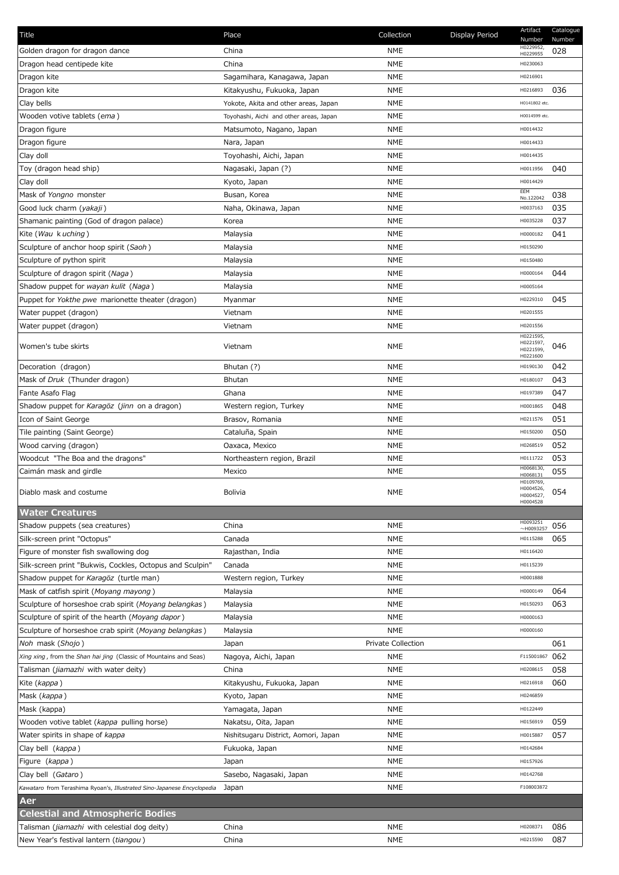| Title                                                                   | Place                                   | Collection                | Display Period | Artifact<br>Number                              | Catalogue<br>Number |
|-------------------------------------------------------------------------|-----------------------------------------|---------------------------|----------------|-------------------------------------------------|---------------------|
| Golden dragon for dragon dance                                          | China                                   | <b>NME</b>                |                | H0229952,<br>H0229955                           | 028                 |
| Dragon head centipede kite                                              | China                                   | <b>NME</b>                |                | H0230063                                        |                     |
| Dragon kite                                                             | Sagamihara, Kanagawa, Japan             | <b>NME</b>                |                | H0216901                                        |                     |
| Dragon kite                                                             | Kitakyushu, Fukuoka, Japan              | <b>NME</b>                |                | H0216893                                        | 036                 |
| Clay bells                                                              | Yokote, Akita and other areas, Japan    | NME                       |                | H0141802 etc.                                   |                     |
| Wooden votive tablets (ema)                                             | Toyohashi, Aichi and other areas, Japan | <b>NME</b>                |                | H0014599 etc.                                   |                     |
| Dragon figure                                                           | Matsumoto, Nagano, Japan                | <b>NME</b>                |                | H0014432                                        |                     |
| Dragon figure                                                           | Nara, Japan                             | <b>NME</b>                |                | H0014433                                        |                     |
| Clay doll                                                               | Toyohashi, Aichi, Japan                 | <b>NME</b>                |                | H0014435                                        |                     |
| Toy (dragon head ship)                                                  | Nagasaki, Japan (?)                     | <b>NME</b>                |                | H0011956                                        | 040                 |
| Clay doll                                                               | Kyoto, Japan                            | <b>NME</b>                |                | H0014429                                        |                     |
| Mask of Yongno monster                                                  | Busan, Korea                            | <b>NME</b>                |                | EEM                                             | 038                 |
| Good luck charm (yakaji)                                                | Naha, Okinawa, Japan                    | <b>NME</b>                |                | No.122042<br>H0037163                           | 035                 |
| Shamanic painting (God of dragon palace)                                | Korea                                   | <b>NME</b>                |                | H0035228                                        | 037                 |
| Kite ( <i>Wau</i> k uching)                                             | Malaysia                                | NME                       |                | H0000182                                        | 041                 |
| Sculpture of anchor hoop spirit (Saoh)                                  | Malaysia                                | NME                       |                | H0150290                                        |                     |
| Sculpture of python spirit                                              | Malaysia                                | NME                       |                | H0150480                                        |                     |
|                                                                         |                                         |                           |                | H0000164                                        | 044                 |
| Sculpture of dragon spirit (Naga)                                       | Malaysia                                | <b>NME</b>                |                |                                                 |                     |
| Shadow puppet for wayan kulit (Naga)                                    | Malaysia                                | <b>NME</b>                |                | H0005164                                        |                     |
| Puppet for Yokthe pwe marionette theater (dragon)                       | Myanmar                                 | <b>NME</b>                |                | H0229310                                        | 045                 |
| Water puppet (dragon)                                                   | Vietnam                                 | <b>NME</b>                |                | H0201555                                        |                     |
| Water puppet (dragon)                                                   | Vietnam                                 | NME                       |                | H0201556                                        |                     |
| Women's tube skirts                                                     | Vietnam                                 | NME                       |                | H0221595,<br>H0221597,<br>H0221599,<br>H0221600 | 046                 |
| Decoration (dragon)                                                     | Bhutan (?)                              | <b>NME</b>                |                | H0190130                                        | 042                 |
| Mask of Druk (Thunder dragon)                                           | <b>Bhutan</b>                           | <b>NME</b>                |                | H0180107                                        | 043                 |
| Fante Asafo Flag                                                        | Ghana                                   | <b>NME</b>                |                | H0197389                                        | 047                 |
| Shadow puppet for Karagöz (jinn on a dragon)                            | Western region, Turkey                  | <b>NME</b>                |                | H0001865                                        | 048                 |
| Icon of Saint George                                                    | Brasov, Romania                         | <b>NME</b>                |                | H0211576                                        | 051                 |
| Tile painting (Saint George)                                            | Cataluña, Spain                         | NME                       |                | H0150200                                        | 050                 |
| Wood carving (dragon)                                                   | Oaxaca, Mexico                          | <b>NME</b>                |                | H0268519                                        | 052                 |
|                                                                         |                                         |                           |                | H0111722                                        | 053                 |
| Woodcut "The Boa and the dragons"                                       | Northeastern region, Brazil             | NME                       |                | H0068130,                                       |                     |
| Caimán mask and girdle                                                  | Mexico                                  | <b>NME</b>                |                | H0068131<br>H0109769,                           | 055                 |
| Diablo mask and costume                                                 | Bolivia                                 | <b>NME</b>                |                | H0004526,<br>H0004527,<br>H0004528              | 054                 |
| <b>Water Creatures</b>                                                  |                                         |                           |                |                                                 |                     |
| Shadow puppets (sea creatures)                                          | China                                   | <b>NME</b>                |                | H0093251<br>$~\sim$ H0093257                    | 056                 |
| Silk-screen print "Octopus"                                             | Canada                                  | <b>NME</b>                |                | H0115288                                        | 065                 |
| Figure of monster fish swallowing dog                                   | Rajasthan, India                        | NME                       |                | H0116420                                        |                     |
| Silk-screen print "Bukwis, Cockles, Octopus and Sculpin"                | Canada                                  | <b>NME</b>                |                | H0115239                                        |                     |
| Shadow puppet for Karagöz (turtle man)                                  | Western region, Turkey                  | NME                       |                | H0001888                                        |                     |
| Mask of catfish spirit (Moyang mayong)                                  | Malaysia                                | NME                       |                | H0000149                                        | 064                 |
| Sculpture of horseshoe crab spirit (Moyang belangkas)                   | Malaysia                                | NME                       |                | H0150293                                        | 063                 |
| Sculpture of spirit of the hearth (Moyang dapor)                        | Malaysia                                | <b>NME</b>                |                | H0000163                                        |                     |
| Sculpture of horseshoe crab spirit (Moyang belangkas)                   | Malaysia                                | NME                       |                | H0000160                                        |                     |
| Noh mask (Shojo)                                                        | Japan                                   | <b>Private Collection</b> |                |                                                 | 061                 |
| Xing xing, from the Shan hai jing (Classic of Mountains and Seas)       | Nagoya, Aichi, Japan                    | NME                       |                | F115001867                                      | 062                 |
| Talisman (jiamazhi with water deity)                                    | China                                   | <b>NME</b>                |                | H0208615                                        | 058                 |
| Kite (kappa)                                                            | Kitakyushu, Fukuoka, Japan              | <b>NME</b>                |                | H0216918                                        | 060                 |
| Mask (kappa)                                                            | Kyoto, Japan                            | <b>NME</b>                |                | H0246859                                        |                     |
| Mask (kappa)                                                            |                                         | <b>NME</b>                |                | H0122449                                        |                     |
| Wooden votive tablet (kappa pulling horse)                              | Yamagata, Japan<br>Nakatsu, Oita, Japan | <b>NME</b>                |                | H0156919                                        | 059                 |
|                                                                         |                                         | <b>NME</b>                |                | H0015887                                        |                     |
| Water spirits in shape of kappa                                         | Nishitsugaru District, Aomori, Japan    |                           |                |                                                 | 057                 |
| Clay bell (kappa)                                                       | Fukuoka, Japan                          | <b>NME</b>                |                | H0142684                                        |                     |
| Figure ( <i>kappa</i> )                                                 | Japan                                   | <b>NME</b>                |                | H0157926                                        |                     |
| Clay bell (Gataro)                                                      | Sasebo, Nagasaki, Japan                 | <b>NME</b>                |                | H0142768                                        |                     |
| Kawataro from Terashima Ryoan's, Illustrated Sino-Japanese Encyclopedia | Japan                                   | NME                       |                | F108003872                                      |                     |
| Aer                                                                     |                                         |                           |                |                                                 |                     |
| <b>Celestial and Atmospheric Bodies</b>                                 |                                         |                           |                |                                                 |                     |
| Talisman (jiamazhi with celestial dog deity)                            | China                                   | <b>NME</b>                |                | H0208371                                        | 086                 |
| New Year's festival lantern (tiangou)                                   | China                                   | NME                       |                | H0215590                                        | 087                 |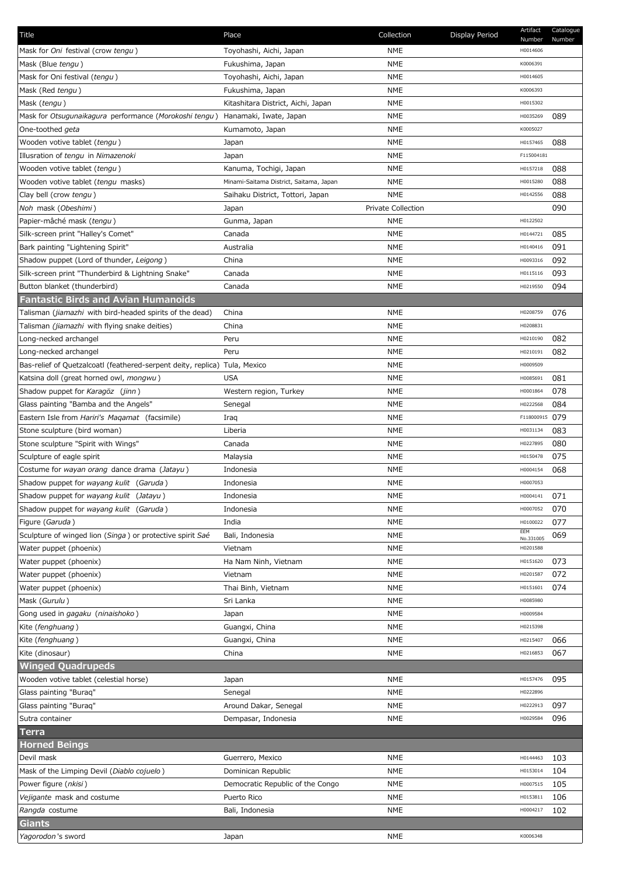| Title                                                                      | Place                                   | Collection                | Display Period | Artifact<br>Number | Catalogue<br>Number |
|----------------------------------------------------------------------------|-----------------------------------------|---------------------------|----------------|--------------------|---------------------|
| Mask for Oni festival (crow tengu)                                         | Toyohashi, Aichi, Japan                 | <b>NME</b>                |                | H0014606           |                     |
| Mask (Blue tengu)                                                          | Fukushima, Japan                        | <b>NME</b>                |                | K0006391           |                     |
| Mask for Oni festival (tengu)                                              | Toyohashi, Aichi, Japan                 | <b>NME</b>                |                | H0014605           |                     |
| Mask (Red tengu)                                                           | Fukushima, Japan                        | <b>NME</b>                |                | K0006393           |                     |
| Mask (tengu)                                                               | Kitashitara District, Aichi, Japan      | <b>NME</b>                |                | H0015302           |                     |
| Mask for Otsugunaikagura performance (Morokoshi tengu)                     | Hanamaki, Iwate, Japan                  | <b>NME</b>                |                | H0035269           | 089                 |
| One-toothed geta                                                           | Kumamoto, Japan                         | <b>NME</b>                |                | K0005027           |                     |
| Wooden votive tablet (tengu)                                               | Japan                                   | <b>NME</b>                |                | H0157465           | 088                 |
| Illusration of tengu in Nimazenoki                                         | Japan                                   | <b>NME</b>                |                | F115004181         |                     |
| Wooden votive tablet (tengu)                                               | Kanuma, Tochigi, Japan                  | <b>NME</b>                |                | H0157218           | 088                 |
| Wooden votive tablet (tengu masks)                                         | Minami-Saitama District, Saitama, Japan | <b>NME</b>                |                | H0015280           | 088                 |
| Clay bell (crow tengu)                                                     | Saihaku District, Tottori, Japan        | <b>NME</b>                |                | H0142556           | 088                 |
| Noh mask (Obeshimi)                                                        | Japan                                   | <b>Private Collection</b> |                |                    | 090                 |
| Papier-mâché mask (tengu)                                                  | Gunma, Japan                            | <b>NME</b>                |                | H0122502           |                     |
| Silk-screen print "Halley's Comet"                                         | Canada                                  | <b>NME</b>                |                | H0144721           | 085                 |
| Bark painting "Lightening Spirit"                                          | Australia                               | <b>NME</b>                |                | H0140416           | 091                 |
| Shadow puppet (Lord of thunder, Leigong)                                   | China                                   | <b>NME</b>                |                | H0093316           | 092                 |
| Silk-screen print "Thunderbird & Lightning Snake"                          | Canada                                  | <b>NME</b>                |                | H0115116           | 093                 |
| Button blanket (thunderbird)                                               | Canada                                  | <b>NME</b>                |                | H0219550           | 094                 |
| <b>Fantastic Birds and Avian Humanoids</b>                                 |                                         |                           |                |                    |                     |
| Talisman (jiamazhi with bird-headed spirits of the dead)                   | China                                   | <b>NME</b>                |                | H0208759           | 076                 |
| Talisman (jiamazhi with flying snake deities)                              | China                                   | <b>NME</b>                |                | H0208831           |                     |
|                                                                            | Peru                                    | <b>NME</b>                |                | H0210190           | 082                 |
| Long-necked archangel                                                      | Peru                                    | <b>NME</b>                |                | H0210191           | 082                 |
| Long-necked archangel                                                      |                                         | <b>NME</b>                |                | H0009509           |                     |
| Bas-relief of Quetzalcoatl (feathered-serpent deity, replica) Tula, Mexico |                                         |                           |                |                    | 081                 |
| Katsina doll (great horned owl, mongwu)                                    | <b>USA</b>                              | <b>NME</b>                |                | H0085691           |                     |
| Shadow puppet for Karagöz (jinn)                                           | Western region, Turkey                  | <b>NME</b>                |                | H0001864           | 078                 |
| Glass painting "Bamba and the Angels"                                      | Senegal                                 | <b>NME</b>                |                | H0222568           | 084                 |
| Eastern Isle from Hariri's Magamat (facsimile)                             | Iraq                                    | <b>NME</b>                |                | F118000915         | 079                 |
| Stone sculpture (bird woman)                                               | Liberia                                 | <b>NME</b>                |                | H0031134           | 083                 |
| Stone sculpture "Spirit with Wings"                                        | Canada                                  | <b>NME</b>                |                | H0227895           | 080                 |
| Sculpture of eagle spirit                                                  | Malaysia                                | <b>NME</b>                |                | H0150478           | 075                 |
| Costume for wayan orang dance drama (Jatayu)                               | Indonesia                               | <b>NME</b>                |                | H0004154           | 068                 |
| Shadow puppet for wayang kulit (Garuda)                                    | Indonesia                               | <b>NME</b>                |                | H0007053           |                     |
| Shadow puppet for wayang kulit (Jatayu)                                    | Indonesia                               | NME                       |                | H0004141           | 071                 |
| Shadow puppet for wayang kulit (Garuda)                                    | Indonesia                               | <b>NME</b>                |                | H0007052           | 070                 |
| Figure (Garuda)                                                            | India                                   | <b>NME</b>                |                | H0100022<br>EEM    | 077                 |
| Sculpture of winged lion (Singa) or protective spirit Saé                  | Bali, Indonesia                         | <b>NME</b>                |                | No.331005          | 069                 |
| Water puppet (phoenix)                                                     | Vietnam                                 | <b>NME</b>                |                | H0201588           |                     |
| Water puppet (phoenix)                                                     | Ha Nam Ninh, Vietnam                    | NME                       |                | H0151620           | 073                 |
| Water puppet (phoenix)                                                     | Vietnam                                 | <b>NME</b>                |                | H0201587           | 072                 |
| Water puppet (phoenix)                                                     | Thai Binh, Vietnam                      | <b>NME</b>                |                | H0151601           | 074                 |
| Mask (Gurulu)                                                              | Sri Lanka                               | <b>NME</b>                |                | H0085980           |                     |
| Gong used in gagaku (ninaishoko)                                           | Japan                                   | <b>NME</b>                |                | H0009584           |                     |
| Kite (fenghuang)                                                           | Guangxi, China                          | <b>NME</b>                |                | H0215398           |                     |
| Kite (fenghuang)                                                           | Guangxi, China                          | <b>NME</b>                |                | H0215407           | 066                 |
| Kite (dinosaur)                                                            | China                                   | <b>NME</b>                |                | H0216853           | 067                 |
| <b>Winged Quadrupeds</b>                                                   |                                         |                           |                |                    |                     |
| Wooden votive tablet (celestial horse)                                     | Japan                                   | <b>NME</b>                |                | H0157476           | 095                 |
| Glass painting "Buraq"                                                     | Senegal                                 | <b>NME</b>                |                | H0222896           |                     |
| Glass painting "Buraq"                                                     | Around Dakar, Senegal                   | <b>NME</b>                |                | H0222913           | 097                 |
| Sutra container                                                            | Dempasar, Indonesia                     | <b>NME</b>                |                | H0029584           | 096                 |
| <b>Terra</b>                                                               |                                         |                           |                |                    |                     |
| <b>Horned Beings</b>                                                       |                                         |                           |                |                    |                     |
| Devil mask                                                                 | Guerrero, Mexico                        | <b>NME</b>                |                | H0144463           | 103                 |
| Mask of the Limping Devil (Diablo cojuelo)                                 | Dominican Republic                      | <b>NME</b>                |                | H0153014           | 104                 |
| Power figure (nkisi)                                                       | Democratic Republic of the Congo        | <b>NME</b>                |                | H0007515           | 105                 |
| Vejigante mask and costume                                                 | Puerto Rico                             | <b>NME</b>                |                | H0153811           | 106                 |
| Rangda costume                                                             | Bali, Indonesia                         | <b>NME</b>                |                | H0004217           | 102                 |
| <b>Giants</b>                                                              |                                         |                           |                |                    |                     |
| Yagorodon's sword                                                          | Japan                                   | <b>NME</b>                |                | K0006348           |                     |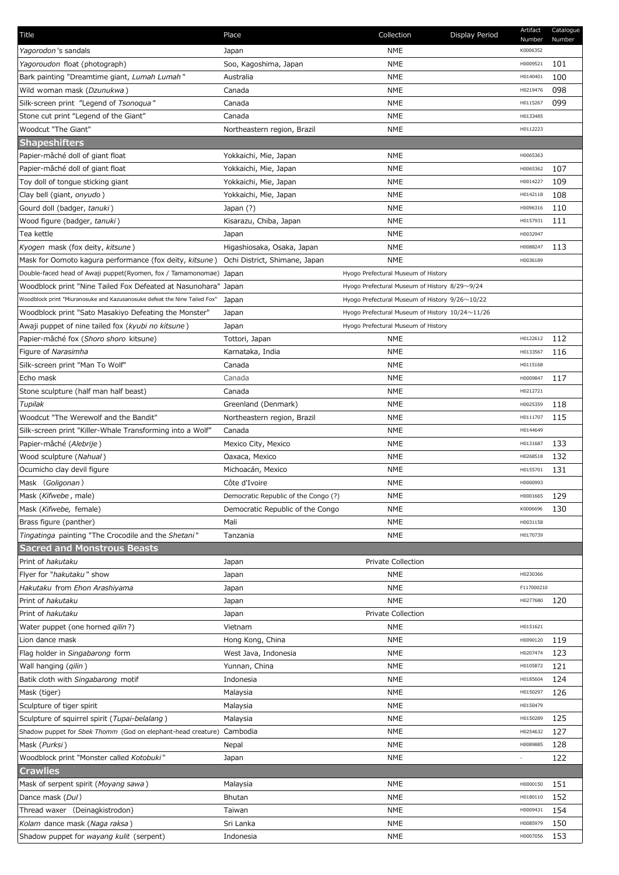| Title                                                                     | Place                                | Collection                                      | Display Period | Artifact<br>Number | Catalogue<br>Number |
|---------------------------------------------------------------------------|--------------------------------------|-------------------------------------------------|----------------|--------------------|---------------------|
| Yagorodon 's sandals                                                      | Japan                                | <b>NME</b>                                      |                | K0006352           |                     |
| Yagoroudon float (photograph)                                             | Soo, Kagoshima, Japan                | <b>NME</b>                                      |                | H0009521           | 101                 |
| Bark painting "Dreamtime giant, Lumah Lumah"                              | Australia                            | NME                                             |                | H0140401           | 100                 |
| Wild woman mask (Dzunukwa)                                                | Canada                               | <b>NME</b>                                      |                | H0219476           | 098                 |
| Silk-screen print "Legend of Tsonogua"                                    | Canada                               | <b>NME</b>                                      |                | H0115267           | 099                 |
|                                                                           |                                      | <b>NME</b>                                      |                |                    |                     |
| Stone cut print "Legend of the Giant"                                     | Canada                               |                                                 |                | H0133485           |                     |
| Woodcut "The Giant"                                                       | Northeastern region, Brazil          | NME                                             |                | H0112223           |                     |
| <b>Shapeshifters</b>                                                      |                                      |                                                 |                |                    |                     |
| Papier-mâché doll of giant float                                          | Yokkaichi, Mie, Japan                | NME                                             |                | H0065363           |                     |
| Papier-mâché doll of giant float                                          | Yokkaichi, Mie, Japan                | <b>NME</b>                                      |                | H0065362           | 107                 |
| Toy doll of tongue sticking giant                                         | Yokkaichi, Mie, Japan                | <b>NME</b>                                      |                | H0014227           | 109                 |
| Clay bell (giant, onyudo)                                                 | Yokkaichi, Mie, Japan                | <b>NME</b>                                      |                | H0142118           | 108                 |
| Gourd doll (badger, tanuki)                                               | Japan (?)                            | <b>NME</b>                                      |                | H0096316           | 110                 |
| Wood figure (badger, tanuki)                                              | Kisarazu, Chiba, Japan               | NME                                             |                | H0157931           | 111                 |
| Tea kettle                                                                | Japan                                | <b>NME</b>                                      |                | H0032947           |                     |
| Kyogen mask (fox deity, kitsune)                                          | Higashiosaka, Osaka, Japan           | <b>NME</b>                                      |                | H0088247           | 113                 |
| Mask for Oomoto kagura performance (fox deity, kitsune)                   | Ochi District, Shimane, Japan        | <b>NME</b>                                      |                | H0036189           |                     |
| Double-faced head of Awaji puppet(Ryomen, fox / Tamamonomae) Japan        |                                      | Hyogo Prefectural Museum of History             |                |                    |                     |
| Woodblock print "Nine Tailed Fox Defeated at Nasunohara" Japan            |                                      | Hyogo Prefectural Museum of History 8/29~9/24   |                |                    |                     |
| Woodblock print "Miuranosuke and Kazusanosuke defeat the Nine Tailed Fox" | Japan                                | Hyogo Prefectural Museum of History 9/26~10/22  |                |                    |                     |
| Woodblock print "Sato Masakiyo Defeating the Monster"                     | Japan                                | Hyogo Prefectural Museum of History 10/24~11/26 |                |                    |                     |
| Awaji puppet of nine tailed fox (kyubi no kitsune)                        | Japan                                | Hyogo Prefectural Museum of History             |                |                    |                     |
| Papier-mâché fox (Shoro shoro kitsune)                                    | Tottori, Japan                       | NME                                             |                | H0122612           | 112                 |
| Figure of Narasimha                                                       | Karnataka, India                     | NME                                             |                | H0133567           | 116                 |
| Silk-screen print "Man To Wolf"                                           | Canada                               | <b>NME</b>                                      |                | H0115168           |                     |
| Echo mask                                                                 | Canada                               | NME                                             |                | H0009847           | 117                 |
| Stone sculpture (half man half beast)                                     | Canada                               | <b>NME</b>                                      |                | H0212721           |                     |
| Tupilak                                                                   | Greenland (Denmark)                  | NME                                             |                | H0025359           | 118                 |
| Woodcut "The Werewolf and the Bandit"                                     | Northeastern region, Brazil          | NME                                             |                | H0111707           | 115                 |
| Silk-screen print "Killer-Whale Transforming into a Wolf"                 | Canada                               | <b>NME</b>                                      |                | H0144649           |                     |
| Papier-mâché (Alebrije)                                                   | Mexico City, Mexico                  | NME                                             |                | H0131687           | 133                 |
| Wood sculpture (Nahual)                                                   | Oaxaca, Mexico                       | NME                                             |                | H0268518           | 132                 |
| Ocumicho clay devil figure                                                | Michoacán, Mexico                    | <b>NME</b>                                      |                | H0155701           | 131                 |
|                                                                           | Côte d'Ivoire                        | NME                                             |                | H0000993           |                     |
| Mask ( <i>Goligonan</i> )                                                 |                                      |                                                 |                |                    |                     |
| Mask (Kifwebe, male)                                                      | Democratic Republic of the Congo (?) | NME                                             |                | H0001665           | 129                 |
| Mask ( <i>Kifwebe,</i> female)                                            | Democratic Republic of the Congo     | NME                                             |                | K0006696           | 130                 |
| Brass figure (panther)                                                    | Mali                                 | <b>NME</b>                                      |                | H0031158           |                     |
| Tingatinga painting "The Crocodile and the Shetani"                       | Tanzania                             | NME                                             |                | H0170739           |                     |
| <b>Sacred and Monstrous Beasts</b>                                        |                                      |                                                 |                |                    |                     |
| Print of hakutaku                                                         | Japan                                | <b>Private Collection</b>                       |                |                    |                     |
| Flyer for "hakutaku" show                                                 | Japan                                | <b>NME</b>                                      |                | H0230366           |                     |
| Hakutaku from Ehon Arashiyama                                             | Japan                                | NME                                             |                | F117000210         |                     |
| Print of hakutaku                                                         | Japan                                | NME                                             |                | H0277680           | 120                 |
| Print of hakutaku                                                         | Japan                                | Private Collection                              |                |                    |                     |
| Water puppet (one horned gilin?)                                          | Vietnam                              | NME                                             |                | H0151621           |                     |
| Lion dance mask                                                           | Hong Kong, China                     | <b>NME</b>                                      |                | H0090120           | 119                 |
| Flag holder in Singabarong form                                           | West Java, Indonesia                 | <b>NME</b>                                      |                | H0207474           | 123                 |
| Wall hanging ( <i>gilin</i> )                                             | Yunnan, China                        | NME                                             |                | H0105872           | 121                 |
| Batik cloth with Singabarong motif                                        | Indonesia                            | NME                                             |                | H0185604           | 124                 |
| Mask (tiger)                                                              | Malaysia                             | NME                                             |                | H0150297           | 126                 |
| Sculpture of tiger spirit                                                 | Malaysia                             | <b>NME</b>                                      |                | H0150479           |                     |
| Sculpture of squirrel spirit (Tupai-belalang)                             | Malaysia                             | <b>NME</b>                                      |                | H0150289           | 125                 |
| Shadow puppet for Sbek Thomm (God on elephant-head creature) Cambodia     |                                      | NME                                             |                | H0254632           | 127                 |
| Mask (Purksi)                                                             | Nepal                                | <b>NME</b>                                      |                | H0089885           | 128                 |
| Woodblock print "Monster called Kotobuki"                                 | Japan                                | NME                                             |                |                    | 122                 |
| <b>Crawlies</b>                                                           |                                      |                                                 |                |                    |                     |
| Mask of serpent spirit (Moyang sawa)                                      | Malaysia                             | NME                                             |                | H0000150           | 151                 |
| Dance mask (Dul)                                                          |                                      |                                                 |                |                    |                     |
|                                                                           | Bhutan                               | NME                                             |                | H0180110           | 152                 |
| Thread waxer (Deinagkistrodon)                                            | Taiwan                               | NME                                             |                | H0009431           | 154                 |
| Kolam dance mask (Naga raksa)                                             | Sri Lanka                            | <b>NME</b>                                      |                | H0085979           | 150                 |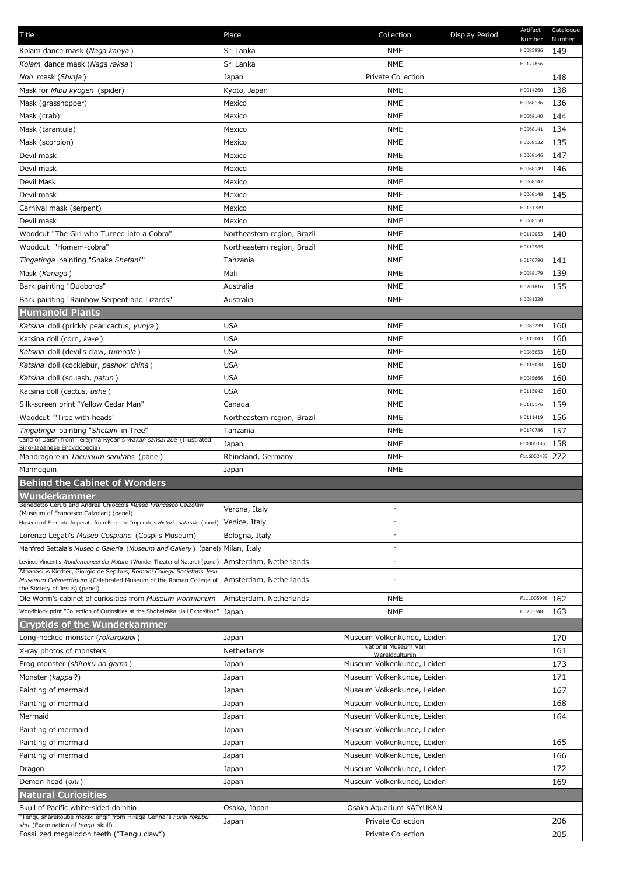| Title                                                                                                                                                                           | Place                                   | Collection                                               | Display Period | Artifact<br>Number   | Catalogue<br>Number |
|---------------------------------------------------------------------------------------------------------------------------------------------------------------------------------|-----------------------------------------|----------------------------------------------------------|----------------|----------------------|---------------------|
| Kolam dance mask (Naga kanya)                                                                                                                                                   | Sri Lanka                               | <b>NME</b>                                               |                | H0085986             | 149                 |
| Kolam dance mask (Naga raksa)                                                                                                                                                   | Sri Lanka                               | <b>NME</b>                                               |                | H0177856             |                     |
| Noh mask (Shinja)                                                                                                                                                               | Japan                                   | <b>Private Collection</b>                                |                |                      | 148                 |
| Mask for Mibu kyogen (spider)                                                                                                                                                   | Kyoto, Japan                            | <b>NME</b>                                               |                | H0014260             | 138                 |
| Mask (grasshopper)                                                                                                                                                              | Mexico                                  | <b>NME</b>                                               |                | H0068136             | 136                 |
| Mask (crab)                                                                                                                                                                     | Mexico                                  | <b>NME</b>                                               |                | H0068140             | 144                 |
| Mask (tarantula)                                                                                                                                                                | Mexico                                  | <b>NME</b>                                               |                | H0068141             | 134                 |
| Mask (scorpion)                                                                                                                                                                 | Mexico                                  | <b>NME</b>                                               |                | H0068132             | 135                 |
| Devil mask                                                                                                                                                                      | Mexico                                  | <b>NME</b>                                               |                | H0068146             | 147                 |
| Devil mask                                                                                                                                                                      | Mexico                                  | <b>NME</b>                                               |                | H0068149             | 146                 |
| Devil Mask                                                                                                                                                                      | Mexico                                  | <b>NME</b>                                               |                | H0068147             |                     |
| Devil mask                                                                                                                                                                      | Mexico                                  | <b>NME</b>                                               |                | H0068148             | 145                 |
| Carnival mask (serpent)                                                                                                                                                         | Mexico                                  | <b>NME</b>                                               |                | H0131789             |                     |
| Devil mask                                                                                                                                                                      | Mexico                                  | <b>NME</b>                                               |                | H0068150             |                     |
| Woodcut "The Girl who Turned into a Cobra"                                                                                                                                      | Northeastern region, Brazil             | <b>NME</b>                                               |                | H0112053             | 140                 |
| Woodcut "Homem-cobra"                                                                                                                                                           | Northeastern region, Brazil             | <b>NME</b>                                               |                | H0112585             |                     |
| Tingatinga painting "Snake Shetani"                                                                                                                                             | Tanzania                                | <b>NME</b>                                               |                | H0170790             | 141                 |
| Mask ( <i>Kanaga</i> )                                                                                                                                                          | Mali                                    | <b>NME</b>                                               |                | H0088179             | 139                 |
| Bark painting "Ouoboros"                                                                                                                                                        | Australia                               | <b>NME</b>                                               |                | H0201816             | 155                 |
| Bark painting "Rainbow Serpent and Lizards"                                                                                                                                     | Australia                               | <b>NME</b>                                               |                | H0081328             |                     |
| <b>Humanoid Plants</b>                                                                                                                                                          |                                         |                                                          |                |                      |                     |
| Katsina doll (prickly pear cactus, yunya)                                                                                                                                       | <b>USA</b>                              | <b>NME</b>                                               |                | H0083299             | 160                 |
| Katsina doll (corn, ka-e)                                                                                                                                                       | <b>USA</b>                              | <b>NME</b>                                               |                | H0115043             | 160                 |
| Katsina doll (devil's claw, tumoala)                                                                                                                                            | <b>USA</b>                              | <b>NME</b>                                               |                | H0085653             | 160                 |
| Katsina doll (cocklebur, pashok' china)                                                                                                                                         | <b>USA</b>                              | <b>NME</b>                                               |                | H0115038             | 160                 |
|                                                                                                                                                                                 | <b>USA</b>                              | <b>NME</b>                                               |                | H0085666             | 160                 |
| Katsina doll (squash, patun)<br>Katsina doll (cactus, ushe)                                                                                                                     | <b>USA</b>                              | <b>NME</b>                                               |                | H0115042             | 160                 |
|                                                                                                                                                                                 |                                         |                                                          |                | H0115176             | 159                 |
| Silk-screen print "Yellow Cedar Man"<br>Woodcut "Tree with heads"                                                                                                               | Canada                                  | <b>NME</b>                                               |                |                      |                     |
|                                                                                                                                                                                 | Northeastern region, Brazil<br>Tanzania | <b>NME</b>                                               |                | H0111419<br>H0170786 | 156                 |
| Tingatinga painting "Shetani in Tree"<br>Land of Daishi from Terajima Ryoan's Wakan sansai zue (Illustrated                                                                     |                                         | <b>NME</b><br><b>NME</b>                                 |                | F108003860           | 157<br>158          |
| Sino-Japanese Encyclopedia)<br>Mandragore in Tacuinum sanitatis (panel)                                                                                                         | Japan                                   | <b>NME</b>                                               |                |                      | 272                 |
|                                                                                                                                                                                 | Rhineland, Germany                      |                                                          |                | F116002433           |                     |
| Mannequin<br><b>Behind the Cabinet of Wonders</b>                                                                                                                               | Japan                                   | <b>NME</b>                                               |                |                      |                     |
|                                                                                                                                                                                 |                                         |                                                          |                |                      |                     |
| Wunderkammer<br>Benedetto Ceruti and Andrea Chiocco's Museo Francesco Calzolari                                                                                                 |                                         |                                                          |                |                      |                     |
| (Museum of Francesco Calzolari) (panel)                                                                                                                                         | Verona, Italy                           |                                                          |                |                      |                     |
| Museum of Ferrante Imperato from Ferrante Imperato's Historia naturale (panel) Venice, Italy                                                                                    |                                         | $\overline{a}$                                           |                |                      |                     |
| Lorenzo Legati's Museo Cospiano (Cospi's Museum)                                                                                                                                | Bologna, Italy                          |                                                          |                |                      |                     |
| Manfred Settala's Museo o Galeria (Museum and Gallery) (panel) Milan, Italy                                                                                                     |                                         | $\overline{a}$                                           |                |                      |                     |
| Levinus Vincent's Wondertooneel der Nature (Wonder Theater of Nature) (panel) Amsterdam, Netherlands<br>Athanasius Kircher, Giorgio de Sepibus, Romani Collegii Societatis Jesu |                                         |                                                          |                |                      |                     |
| Musaeum Celeberrimum (Celebrated Museum of the Roman College of Amsterdam, Netherlands                                                                                          |                                         |                                                          |                |                      |                     |
| the Society of Jesus) (panel)<br>Ole Worm's cabinet of curiosities from Museum wormianum                                                                                        | Amsterdam, Netherlands                  | <b>NME</b>                                               |                | F111005998 162       |                     |
| Woodblock print "Collection of Curiosities at the Shoheizaka Hall Exposition"                                                                                                   | Japan                                   | <b>NME</b>                                               |                | H0253748             | 163                 |
| <b>Cryptids of the Wunderkammer</b>                                                                                                                                             |                                         |                                                          |                |                      |                     |
| Long-necked monster (rokurokubi)                                                                                                                                                | Japan                                   | Museum Volkenkunde, Leiden                               |                |                      | 170                 |
|                                                                                                                                                                                 | Netherlands                             | National Museum Van                                      |                |                      | 161                 |
| X-ray photos of monsters                                                                                                                                                        |                                         | Wereldculturen                                           |                |                      | 173                 |
| Frog monster (shiroku no gama)                                                                                                                                                  | Japan                                   | Museum Volkenkunde, Leiden                               |                |                      | 171                 |
| Monster (kappa?)<br>Painting of mermaid                                                                                                                                         | Japan                                   | Museum Volkenkunde, Leiden<br>Museum Volkenkunde, Leiden |                |                      | 167                 |
|                                                                                                                                                                                 | Japan                                   |                                                          |                |                      | 168                 |
| Painting of mermaid                                                                                                                                                             | Japan                                   | Museum Volkenkunde, Leiden                               |                |                      | 164                 |
| Mermaid                                                                                                                                                                         | Japan                                   | Museum Volkenkunde, Leiden                               |                |                      |                     |
| Painting of mermaid                                                                                                                                                             | Japan                                   | Museum Volkenkunde, Leiden                               |                |                      |                     |
| Painting of mermaid                                                                                                                                                             | Japan                                   | Museum Volkenkunde, Leiden                               |                |                      | 165                 |
| Painting of mermaid                                                                                                                                                             | Japan                                   | Museum Volkenkunde, Leiden                               |                |                      | 166                 |
| Dragon                                                                                                                                                                          | Japan                                   | Museum Volkenkunde, Leiden                               |                |                      | 172                 |
| Demon head (oni)                                                                                                                                                                | Japan                                   | Museum Volkenkunde, Leiden                               |                |                      | 169                 |
| <b>Natural Curiosities</b>                                                                                                                                                      |                                         |                                                          |                |                      |                     |
| Skull of Pacific white-sided dolphin<br>Tengu sharekoube mekiki engi" from Hiraga Gennai's Furai rokubu                                                                         | Osaka, Japan                            | Osaka Aquarium KAIYUKAN                                  |                |                      |                     |
| shu (Examination of tengu skull)                                                                                                                                                | Japan                                   | Private Collection                                       |                |                      | 206                 |
| Fossilized megalodon teeth ("Tengu claw")                                                                                                                                       |                                         | Private Collection                                       |                |                      | 205                 |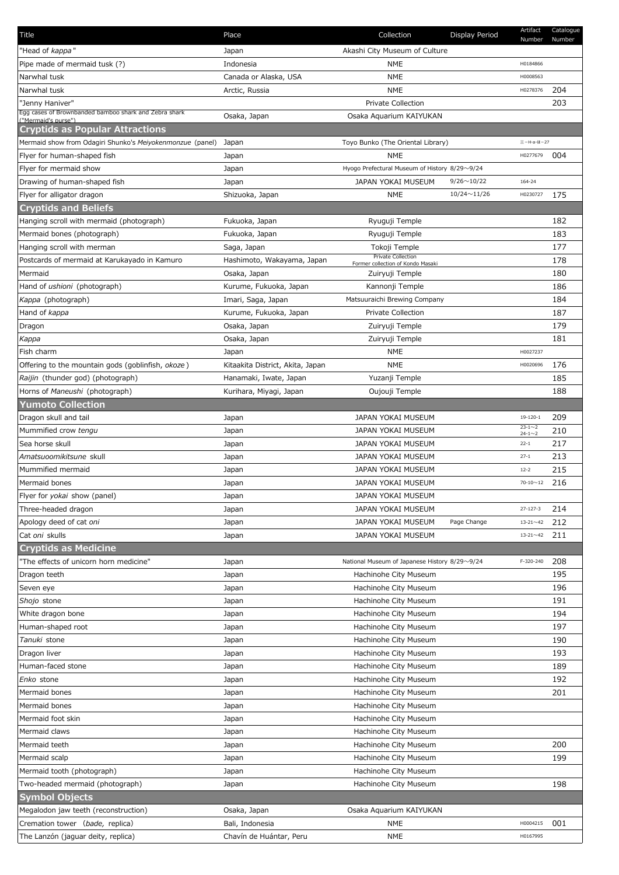| Title                                                         | Place                            | Collection                                    | Display Period     | Artifact<br>Number           | Catalogue<br>Number |
|---------------------------------------------------------------|----------------------------------|-----------------------------------------------|--------------------|------------------------------|---------------------|
| 'Head of <i>kappa</i> "                                       | Japan                            | Akashi City Museum of Culture                 |                    |                              |                     |
| Pipe made of mermaid tusk (?)                                 | Indonesia                        | NME                                           |                    | H0184866                     |                     |
| Narwhal tusk                                                  | Canada or Alaska, USA            | <b>NME</b>                                    |                    | H0008563                     |                     |
| Narwhal tusk                                                  | Arctic, Russia                   | <b>NME</b>                                    |                    | H0278376                     | 204                 |
| "Jenny Haniver"                                               |                                  | <b>Private Collection</b>                     |                    |                              | 203                 |
| Egg cases of Brownbanded bamboo shark and Zebra shark         | Osaka, Japan                     | Osaka Aquarium KAIYUKAN                       |                    |                              |                     |
| ("Mermaid's purse")<br><b>Cryptids as Popular Attractions</b> |                                  |                                               |                    |                              |                     |
| Mermaid show from Odagiri Shunko's Meiyokenmonzue (panel)     |                                  | Toyo Bunko (The Oriental Library)             |                    | $\equiv$ -H-a- $\approx$ -27 |                     |
| Flyer for human-shaped fish                                   | Japan<br>Japan                   | <b>NME</b>                                    |                    | H0277679                     | 004                 |
| Flyer for mermaid show                                        |                                  |                                               |                    |                              |                     |
|                                                               | Japan                            | Hyogo Prefectural Museum of History 8/29~9/24 |                    |                              |                     |
| Drawing of human-shaped fish                                  | Japan                            | JAPAN YOKAI MUSEUM                            | $9/26 \sim 10/22$  | 164-24                       |                     |
| Flyer for alligator dragon                                    | Shizuoka, Japan                  | <b>NME</b>                                    | $10/24 \sim 11/26$ | H0230727                     | 175                 |
| <b>Cryptids and Beliefs</b>                                   |                                  |                                               |                    |                              |                     |
| Hanging scroll with mermaid (photograph)                      | Fukuoka, Japan                   | Ryuguji Temple                                |                    |                              | 182                 |
| Mermaid bones (photograph)                                    | Fukuoka, Japan                   | Ryuguji Temple                                |                    |                              | 183                 |
| Hanging scroll with merman                                    | Saga, Japan                      | Tokoji Temple<br>Private Collection           |                    |                              | 177                 |
| Postcards of mermaid at Karukayado in Kamuro                  | Hashimoto, Wakayama, Japan       | Former collection of Kondo Masaki             |                    |                              | 178                 |
| Mermaid                                                       | Osaka, Japan                     | Zuiryuji Temple                               |                    |                              | 180                 |
| Hand of <i>ushioni</i> (photograph)                           | Kurume, Fukuoka, Japan           | Kannonji Temple                               |                    |                              | 186                 |
| Kappa (photograph)                                            | Imari, Saga, Japan               | Matsuuraichi Brewing Company                  |                    |                              | 184                 |
| Hand of kappa                                                 | Kurume, Fukuoka, Japan           | Private Collection                            |                    |                              | 187                 |
| Dragon                                                        | Osaka, Japan                     | Zuiryuji Temple                               |                    |                              | 179                 |
| Kappa                                                         | Osaka, Japan                     | Zuiryuji Temple                               |                    |                              | 181                 |
| Fish charm                                                    | Japan                            | <b>NME</b>                                    |                    | H0027237                     |                     |
| Offering to the mountain gods (goblinfish, okoze)             | Kitaakita District, Akita, Japan | <b>NME</b>                                    |                    | H0020696                     | 176                 |
| Raijin (thunder god) (photograph)                             | Hanamaki, Iwate, Japan           | Yuzanji Temple                                |                    |                              | 185                 |
| Horns of Maneushi (photograph)                                | Kurihara, Miyagi, Japan          | Oujouji Temple                                |                    |                              | 188                 |
| <b>Yumoto Collection</b>                                      |                                  |                                               |                    |                              |                     |
| Dragon skull and tail                                         | Japan                            | JAPAN YOKAI MUSEUM                            |                    | $19 - 120 - 1$               | 209                 |
| Mummified crow tengu                                          | Japan                            | <b>JAPAN YOKAI MUSEUM</b>                     |                    | $23 - 1 - 2$                 | 210                 |
| Sea horse skull                                               | Japan                            | JAPAN YOKAI MUSEUM                            |                    | $24 - 1 - 2$<br>$22 - 1$     | 217                 |
| Amatsuoomikitsune skull                                       | Japan                            | JAPAN YOKAI MUSEUM                            |                    | $27 - 1$                     | 213                 |
| Mummified mermaid                                             | Japan                            | JAPAN YOKAI MUSEUM                            |                    | $12 - 2$                     | 215                 |
| Mermaid bones                                                 |                                  | JAPAN YOKAI MUSEUM                            |                    | $70 - 10 \sim 12$            | 216                 |
| Flyer for yokai show (panel)                                  | Japan                            | JAPAN YOKAI MUSEUM                            |                    |                              |                     |
|                                                               | Japan                            |                                               |                    |                              |                     |
| Three-headed dragon                                           | Japan                            | JAPAN YOKAI MUSEUM                            |                    | $27 - 127 - 3$               | 214                 |
| Apology deed of cat oni                                       | Japan                            | JAPAN YOKAI MUSEUM                            | Page Change        | $13 - 21 - 42$               | 212                 |
| Cat oni skulls                                                | Japan                            | JAPAN YOKAI MUSEUM                            |                    | $13 - 21 - 42$               | 211                 |
| <b>Cryptids as Medicine</b>                                   |                                  |                                               |                    |                              |                     |
| "The effects of unicorn horn medicine"                        | Japan                            | National Museum of Japanese History 8/29~9/24 |                    | F-320-240                    | 208                 |
| Dragon teeth                                                  | Japan                            | Hachinohe City Museum                         |                    |                              | 195                 |
| Seven eye                                                     | Japan                            | Hachinohe City Museum                         |                    |                              | 196                 |
| Shojo stone                                                   | Japan                            | Hachinohe City Museum                         |                    |                              | 191                 |
| White dragon bone                                             | Japan                            | Hachinohe City Museum                         |                    |                              | 194                 |
| Human-shaped root                                             | Japan                            | Hachinohe City Museum                         |                    |                              | 197                 |
| Tanuki stone                                                  | Japan                            | Hachinohe City Museum                         |                    |                              | 190                 |
| Dragon liver                                                  | Japan                            | Hachinohe City Museum                         |                    |                              | 193                 |
| Human-faced stone                                             | Japan                            | Hachinohe City Museum                         |                    |                              | 189                 |
| Enko stone                                                    | Japan                            | Hachinohe City Museum                         |                    |                              | 192                 |
| Mermaid bones                                                 | Japan                            | Hachinohe City Museum                         |                    |                              | 201                 |
| Mermaid bones                                                 | Japan                            | Hachinohe City Museum                         |                    |                              |                     |
| Mermaid foot skin                                             | Japan                            | Hachinohe City Museum                         |                    |                              |                     |
| Mermaid claws                                                 | Japan                            | Hachinohe City Museum                         |                    |                              |                     |
| Mermaid teeth                                                 | Japan                            | Hachinohe City Museum                         |                    |                              | 200                 |
| Mermaid scalp                                                 | Japan                            | Hachinohe City Museum                         |                    |                              | 199                 |
| Mermaid tooth (photograph)                                    | Japan                            | Hachinohe City Museum                         |                    |                              |                     |
| Two-headed mermaid (photograph)                               | Japan                            | Hachinohe City Museum                         |                    |                              | 198                 |
| <b>Symbol Objects</b>                                         |                                  |                                               |                    |                              |                     |
| Megalodon jaw teeth (reconstruction)                          | Osaka, Japan                     | Osaka Aquarium KAIYUKAN                       |                    |                              |                     |
| Cremation tower (bade, replica)                               | Bali, Indonesia                  | NME                                           |                    | H0004215                     | 001                 |
| The Lanzón (jaguar deity, replica)                            | Chavín de Huántar, Peru          | <b>NME</b>                                    |                    | H0167995                     |                     |
|                                                               |                                  |                                               |                    |                              |                     |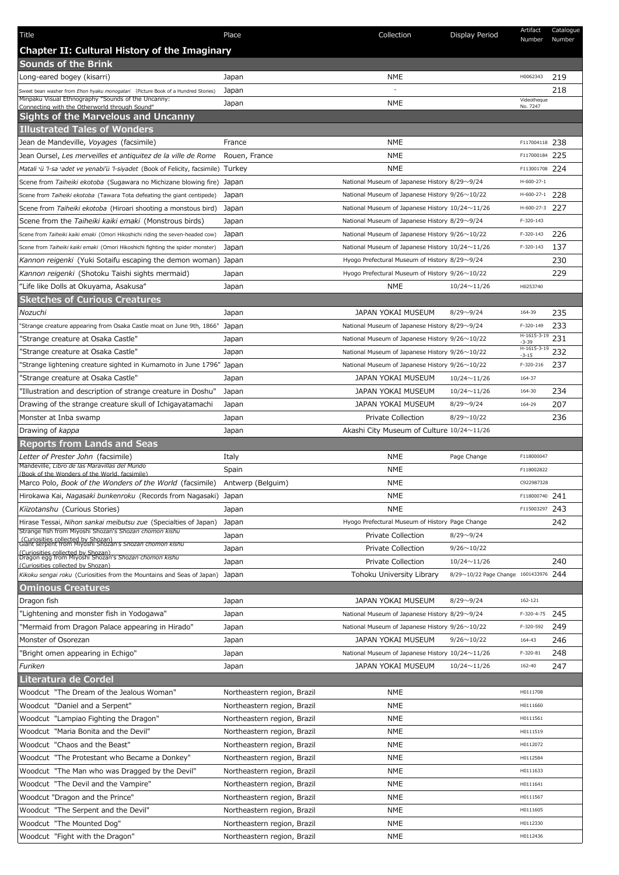| Title                                                                                                                     | Place                       | Collection                                            | Display Period                        | Artifact<br>Number       | Catalogue<br>Number |
|---------------------------------------------------------------------------------------------------------------------------|-----------------------------|-------------------------------------------------------|---------------------------------------|--------------------------|---------------------|
| Chapter II: Cultural History of the Imaginary                                                                             |                             |                                                       |                                       |                          |                     |
| <b>Sounds of the Brink</b>                                                                                                |                             |                                                       |                                       |                          |                     |
| Long-eared bogey (kisarri)                                                                                                | Japan                       | <b>NME</b>                                            |                                       | H0062343                 | 219                 |
| Sweet bean washer from Ehon hyaku monogatari (Picture Book of a Hundred Stories)                                          | Japan                       |                                                       |                                       |                          | 218                 |
| Minpaku Visual Ethnography "Sounds of the Uncanny:<br>Connecting with the Otherworld through Sound"                       | Japan                       | <b>NME</b>                                            |                                       | Videotheque<br>No. 7247  |                     |
| Sights of the Marvelous and Uncanny                                                                                       |                             |                                                       |                                       |                          |                     |
| <b>Illustrated Tales of Wonders</b>                                                                                       |                             |                                                       |                                       |                          |                     |
| Jean de Mandeville, Voyages (facsimile)                                                                                   | France                      | NME                                                   |                                       | F117004118 238           |                     |
| Jean Oursel, Les merveilles et antiquitez de la ville de Rome                                                             | Rouen, France               | NME                                                   |                                       | F117000184 225           |                     |
| Matali 'ü 'l-sa 'adet ve yenabi'ü 'l-siyadet (Book of Felicity, facsimile) Turkey                                         |                             | NME                                                   |                                       | F113001708 224           |                     |
| Scene from Taiheiki ekotoba (Sugawara no Michizane blowing fire)                                                          | Japan                       | National Museum of Japanese History 8/29~9/24         |                                       | $H-600-27-1$             |                     |
| Scene from Taiheiki ekotoba (Tawara Tota defeating the giant centipede)                                                   | Japan                       | National Museum of Japanese History $9/26 \sim 10/22$ |                                       | H-600-27-1               | 228                 |
| Scene from Taiheiki ekotoba (Hiroari shooting a monstous bird)                                                            | Japan                       | National Museum of Japanese History 10/24~11/26       |                                       | H-600-27-3               | 227                 |
| Scene from the Taiheiki kaiki emaki (Monstrous birds)                                                                     | Japan                       | National Museum of Japanese History 8/29~9/24         |                                       | F-320-143                |                     |
| Scene from Taiheiki kaiki emaki (Omori Hikoshichi riding the seven-headed cow)                                            | Japan                       | National Museum of Japanese History 9/26~10/22        |                                       | F-320-143                | 226                 |
| Scene from Taiheiki kaiki emaki (Omori Hikoshichi fighting the spider monster)                                            | Japan                       | National Museum of Japanese History 10/24~11/26       |                                       | F-320-143                | 137                 |
| Kannon reigenki (Yuki Sotaifu escaping the demon woman) Japan                                                             |                             | Hyogo Prefectural Museum of History $8/29 \sim 9/24$  |                                       |                          | 230                 |
| Kannon reigenki (Shotoku Taishi sights mermaid)                                                                           | Japan                       | Hyogo Prefectural Museum of History 9/26~10/22        |                                       |                          | 229                 |
| "Life like Dolls at Okuyama, Asakusa"                                                                                     | Japan                       | NME                                                   | $10/24 \sim 11/26$                    | H0253740                 |                     |
| <b>Sketches of Curious Creatures</b>                                                                                      |                             |                                                       |                                       |                          |                     |
| Nozuchi                                                                                                                   | Japan                       | <b>JAPAN YOKAI MUSEUM</b>                             | $8/29 \sim 9/24$                      | 164-39                   | 235                 |
| 'Strange creature appearing from Osaka Castle moat on June 9th, 1866"                                                     | Japan                       | National Museum of Japanese History 8/29~9/24         |                                       | F-320-149                | 233                 |
| 'Strange creature at Osaka Castle"                                                                                        | Japan                       | National Museum of Japanese History 9/26~10/22        |                                       | H-1615-3-19<br>$-3-39$   | 231                 |
| 'Strange creature at Osaka Castle"                                                                                        | Japan                       | National Museum of Japanese History 9/26~10/22        |                                       | $H-1615-3-19$<br>$-3-15$ | 232                 |
| 'Strange lightening creature sighted in Kumamoto in June 1796" Japan                                                      |                             | National Museum of Japanese History 9/26~10/22        |                                       | F-320-216                | 237                 |
| 'Strange creature at Osaka Castle"                                                                                        | Japan                       | JAPAN YOKAI MUSEUM                                    | $10/24 \sim 11/26$                    | 164-37                   |                     |
| "Illustration and description of strange creature in Doshu"                                                               | Japan                       | JAPAN YOKAI MUSEUM                                    | $10/24 \sim 11/26$                    | 164-30                   | 234                 |
| Drawing of the strange creature skull of Ichigayatamachi                                                                  | Japan                       | JAPAN YOKAI MUSEUM                                    | $8/29 \sim 9/24$                      | 164-29                   | 207                 |
| Monster at Inba swamp                                                                                                     | Japan                       | Private Collection                                    | $8/29 \sim 10/22$                     |                          | 236                 |
| Drawing of kappa                                                                                                          | Japan                       | Akashi City Museum of Culture 10/24~11/26             |                                       |                          |                     |
| <b>Reports from Lands and Seas</b>                                                                                        |                             |                                                       |                                       |                          |                     |
| Letter of Prester John (facsimile)<br>Mandeville, Libro de las Maravillas del Mundo                                       | Italy                       | <b>NME</b>                                            | Page Change                           | F118000047               |                     |
| (Book of the Wonders of the World, facsimile)                                                                             | Spain                       | NME                                                   |                                       | F118002822               |                     |
| Marco Polo, Book of the Wonders of the World (facsimile)                                                                  | Antwerp (Belguim)           | NME                                                   |                                       | C922987328               |                     |
| Hirokawa Kai, Nagasaki bunkenroku (Records from Nagasaki) Japan                                                           |                             | NME                                                   |                                       | F118000740 241           |                     |
| Kiizotanshu (Curious Stories)                                                                                             | Japan                       | NME                                                   |                                       | F115003297               | 243                 |
| Hirase Tessai, Nihon sankai meibutsu zue (Specialties of Japan)<br>Strange fish from Miyoshi Shozan's Shozan chomon kishu | Japan                       | Hyogo Prefectural Museum of History Page Change       |                                       |                          | 242                 |
| (Curiosities collected by Shozan)<br>Giant serpent from Miyoshi Shozan's Shozan chomon kishu                              | Japan                       | <b>Private Collection</b>                             | $8/29 \sim 9/24$                      |                          |                     |
| (Curiosities collected by Shozan)<br>Dragon egg from Miyoshi Shozan's Shozan chomon kishu                                 | Japan                       | Private Collection                                    | $9/26 \sim 10/22$                     |                          |                     |
| (Curiosities collected by Shozan)                                                                                         | Japan                       | <b>Private Collection</b>                             | $10/24 \sim 11/26$                    |                          | 240                 |
| Kikoku sengai roku (Curiosities from the Mountains and Seas of Japan)                                                     | Japan                       | Tohoku University Library                             | 8/29~10/22 Page Change 1601433976 244 |                          |                     |
| <b>Ominous Creatures</b>                                                                                                  |                             |                                                       |                                       |                          |                     |
| Dragon fish                                                                                                               | Japan                       | JAPAN YOKAI MUSEUM                                    | $8/29 \sim 9/24$                      | 162-121                  |                     |
| "Lightening and monster fish in Yodogawa"                                                                                 | Japan                       | National Museum of Japanese History 8/29~9/24         |                                       | F-320-4-75               | 245                 |
| "Mermaid from Dragon Palace appearing in Hirado"                                                                          | Japan                       | National Museum of Japanese History 9/26~10/22        |                                       | F-320-592                | 249                 |
| Monster of Osorezan                                                                                                       | Japan                       | JAPAN YOKAI MUSEUM                                    | $9/26 \sim 10/22$                     | 164-43                   | 246                 |
| "Bright omen appearing in Echigo"                                                                                         | Japan                       | National Museum of Japanese History 10/24~11/26       |                                       | $F-320-81$               | 248                 |
| Furiken                                                                                                                   | Japan                       | JAPAN YOKAI MUSEUM                                    | $10/24 \sim 11/26$                    | 162-40                   | 247                 |
| Literatura de Cordel                                                                                                      |                             |                                                       |                                       |                          |                     |
| Woodcut "The Dream of the Jealous Woman"                                                                                  | Northeastern region, Brazil | NME                                                   |                                       | H0111708                 |                     |
| Woodcut "Daniel and a Serpent"                                                                                            | Northeastern region, Brazil | NME                                                   |                                       | H0111660                 |                     |
| Woodcut "Lampiao Fighting the Dragon"                                                                                     | Northeastern region, Brazil | NME                                                   |                                       | H0111561                 |                     |
| Woodcut "Maria Bonita and the Devil"                                                                                      | Northeastern region, Brazil | NME                                                   |                                       | H0111519                 |                     |
| Woodcut "Chaos and the Beast"                                                                                             | Northeastern region, Brazil | <b>NME</b>                                            |                                       | H0112072                 |                     |
| Woodcut "The Protestant who Became a Donkey"                                                                              | Northeastern region, Brazil | NME                                                   |                                       | H0112584                 |                     |
| Woodcut "The Man who was Dragged by the Devil"                                                                            | Northeastern region, Brazil | NME                                                   |                                       | H0111633                 |                     |
| Woodcut "The Devil and the Vampire"                                                                                       | Northeastern region, Brazil | NME                                                   |                                       | H0111641                 |                     |
| Woodcut "Dragon and the Prince"                                                                                           | Northeastern region, Brazil | NME                                                   |                                       | H0111567                 |                     |
| Woodcut "The Serpent and the Devil"                                                                                       | Northeastern region, Brazil | NME                                                   |                                       | H0111605                 |                     |
| Woodcut "The Mounted Dog"                                                                                                 | Northeastern region, Brazil | NME                                                   |                                       | H0112330                 |                     |
| Woodcut "Fight with the Dragon"                                                                                           | Northeastern region, Brazil | NME                                                   |                                       | H0112436                 |                     |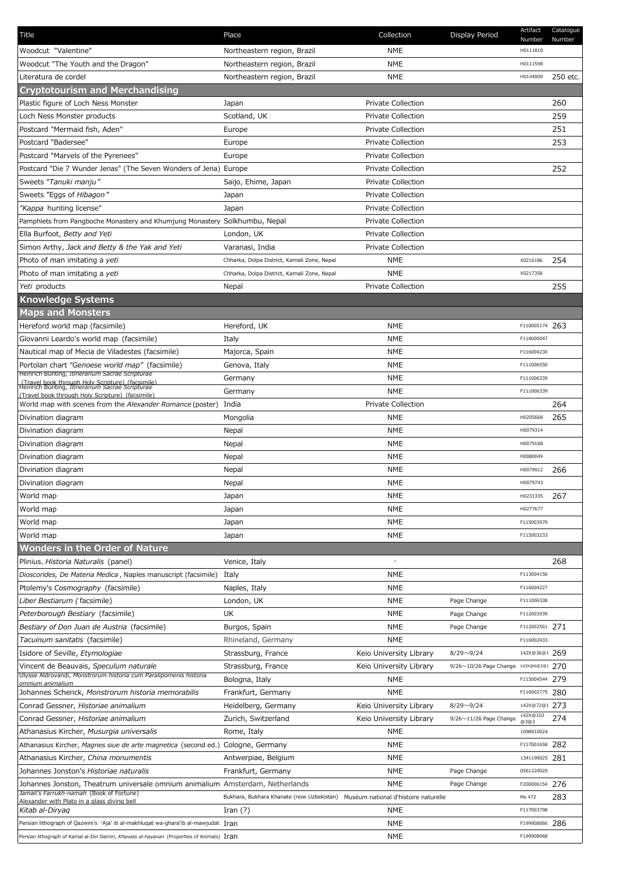| Title                                                                                                      | Place                                                                          | Collection                | Display Period                        | Artifact<br>Number | Catalogue<br>Number |
|------------------------------------------------------------------------------------------------------------|--------------------------------------------------------------------------------|---------------------------|---------------------------------------|--------------------|---------------------|
| Woodcut "Valentine"                                                                                        | Northeastern region, Brazil                                                    | <b>NME</b>                |                                       | H0111810           |                     |
| Woodcut "The Youth and the Dragon"                                                                         | Northeastern region, Brazil                                                    | <b>NME</b>                |                                       | H0111598           |                     |
| Literatura de cordel                                                                                       | Northeastern region, Brazil                                                    | NME                       |                                       | H0144909           | 250 etc.            |
| <b>Cryptotourism and Merchandising</b>                                                                     |                                                                                |                           |                                       |                    |                     |
| Plastic figure of Loch Ness Monster                                                                        | Japan                                                                          | Private Collection        |                                       |                    | 260                 |
| Loch Ness Monster products                                                                                 | Scotland, UK                                                                   | <b>Private Collection</b> |                                       |                    | 259                 |
| Postcard "Mermaid fish, Aden"                                                                              | Europe                                                                         | <b>Private Collection</b> |                                       |                    | 251                 |
| Postcard "Badersee"                                                                                        | Europe                                                                         | <b>Private Collection</b> |                                       |                    | 253                 |
| Postcard "Marvels of the Pyrenees"                                                                         | Europe                                                                         | Private Collection        |                                       |                    |                     |
| Postcard "Die 7 Wunder Jenas" (The Seven Wonders of Jena) Europe                                           |                                                                                | Private Collection        |                                       |                    | 252                 |
| Sweets "Tanuki manju"                                                                                      | Saijo, Ehime, Japan                                                            | <b>Private Collection</b> |                                       |                    |                     |
| Sweets "Eggs of Hibagon"                                                                                   | Japan                                                                          | <b>Private Collection</b> |                                       |                    |                     |
| "Kappa hunting license"                                                                                    | Japan                                                                          | <b>Private Collection</b> |                                       |                    |                     |
| Pamphlets from Pangboche Monastery and Khumjung Monastery Solkhumbu, Nepal                                 |                                                                                | Private Collection        |                                       |                    |                     |
| Ella Burfoot, Betty and Yeti                                                                               | London, UK                                                                     | <b>Private Collection</b> |                                       |                    |                     |
| Simon Arthy, Jack and Betty & the Yak and Yeti                                                             | Varanasi, India                                                                | Private Collection        |                                       |                    |                     |
| Photo of man imitating a yeti                                                                              | Chharka, Dolpa District, Karnali Zone, Nepal                                   | <b>NME</b>                |                                       | X0216186           | 254                 |
| Photo of man imitating a yeti                                                                              | Chharka, Dolpa District, Karnali Zone, Nepal                                   | <b>NME</b>                |                                       | X0217358           |                     |
| Yeti products                                                                                              | Nepal                                                                          | Private Collection        |                                       |                    | 255                 |
| <b>Knowledge Systems</b>                                                                                   |                                                                                |                           |                                       |                    |                     |
| <b>Maps and Monsters</b>                                                                                   |                                                                                |                           |                                       |                    |                     |
| Hereford world map (facsimile)                                                                             |                                                                                | <b>NME</b>                |                                       | F110005174 263     |                     |
|                                                                                                            | Hereford, UK                                                                   |                           |                                       | F118000047         |                     |
| Giovanni Leardo's world map (facsimile)                                                                    | Italy                                                                          | <b>NME</b>                |                                       |                    |                     |
| Nautical map of Mecia de Viladestes (facsimile)                                                            | Majorca, Spain                                                                 | NME                       |                                       | F116004230         |                     |
| Portolan chart "Genoese world map" (facsimile)<br>Heinrich Bünting, Itinerarium Sacrae Scripturae          | Genova, Italy                                                                  | NME                       |                                       | F111006550         |                     |
| (Travel book through Holy Scripture) (facsimile)<br>Heinrich Bünting, <i>Itinerarium Sacrae Scripturae</i> | Germany                                                                        | NME                       |                                       | F111006339         |                     |
| (Travel book through Holy Scripture) (facsimile)                                                           | Germany                                                                        | <b>NME</b>                |                                       | F111006339         |                     |
| World map with scenes from the Alexander Romance (poster) India                                            |                                                                                | Private Collection        |                                       |                    | 264                 |
| Divination diagram                                                                                         | Mongolia                                                                       | <b>NME</b>                |                                       | H0205668           | 265                 |
| Divination diagram                                                                                         | Nepal                                                                          | <b>NME</b>                |                                       | H0079314           |                     |
| Divination diagram                                                                                         | Nepal                                                                          | NME                       |                                       | H0079168           |                     |
| Divination diagram                                                                                         | Nepal                                                                          | <b>NME</b>                |                                       | H0080049           |                     |
| Divination diagram                                                                                         | Nepal                                                                          | <b>NME</b>                |                                       | H0079912           | 266                 |
| Divination diagram                                                                                         | Nepal                                                                          | <b>NME</b>                |                                       | H0079743           |                     |
| World map                                                                                                  | Japan                                                                          | NME                       |                                       | H0231335           | 267                 |
| World map                                                                                                  | Japan                                                                          | <b>NME</b>                |                                       | H0277677           |                     |
| World map                                                                                                  | Japan                                                                          | <b>NME</b>                |                                       | F115003979         |                     |
| World map                                                                                                  | Japan                                                                          | NME                       |                                       | F115003233         |                     |
| <b>Wonders in the Order of Nature</b>                                                                      |                                                                                |                           |                                       |                    |                     |
| Plinius, <i>Historia Naturalis</i> (panel)                                                                 | Venice, Italy                                                                  |                           |                                       |                    | 268                 |
| Dioscorides, De Materia Medica, Naples manuscript (facsimile)                                              | Italy                                                                          | <b>NME</b>                |                                       | F113004156         |                     |
| Ptolemy's Cosmography (facsimile)                                                                          | Naples, Italy                                                                  | <b>NME</b>                |                                       | F116004227         |                     |
| Liber Bestiarum (facsimile)                                                                                | London, UK                                                                     | <b>NME</b>                | Page Change                           | F111006338         |                     |
| Peterborough Bestiary (facsimile)                                                                          | UK                                                                             | <b>NME</b>                | Page Change                           | F112003939         |                     |
| Bestiary of Don Juan de Austria (facsimile)                                                                | Burgos, Spain                                                                  | <b>NME</b>                | Page Change                           | F112002561 271     |                     |
| Tacuinum sanitatis (facsimile)                                                                             | Rhineland, Germany                                                             | <b>NME</b>                |                                       | F116002433         |                     |
| Isidore of Seville, Etymologiae                                                                            | Strassburg, France                                                             | Keio University Library   | $8/29 \sim 9/24$                      | 142X@36@1 269      |                     |
| Vincent de Beauvais, Speculum naturale                                                                     | Strassburg, France                                                             | Keio University Library   | 9/26~10/26 Page Change 143X@6@2@1 270 |                    |                     |
| Ulysse Aldrovandi, Monstrorum historia cum Paralipomenis historia                                          | Bologna, Italy                                                                 | <b>NME</b>                |                                       | F115004544 279     |                     |
| omnium animalium<br>Johannes Schenck, Monstrorum historia memorabilis                                      | Frankfurt, Germany                                                             | NME                       |                                       | F116002775 280     |                     |
| Conrad Gessner, Historiae animalium                                                                        | Heidelberg, Germany                                                            | Keio University Library   | $8/29 \sim 9/24$                      | 142X@72@1 273      |                     |
| Conrad Gessner, Historiae animalium                                                                        | Zurich, Switzerland                                                            | Keio University Library   | $9/26 \sim 11/26$ Page Change         | 142X@103           | 274                 |
| Athanasius Kircher, Musurgia universalis                                                                   | Rome, Italy                                                                    | <b>NME</b>                |                                       | @3@3<br>1098910024 |                     |
| Athanasius Kircher, Magnes siue de arte magnetica (second ed.) Cologne, Germany                            |                                                                                | <b>NME</b>                |                                       | F117001658 282     |                     |
| Athanasius Kircher, China monumentis                                                                       | Antwerpiae, Belgium                                                            | NME                       |                                       | 1341190025 281     |                     |
| Johannes Jonston's Historiae naturalis                                                                     | Frankfurt, Germany                                                             | <b>NME</b>                | Page Change                           | 0561220020         |                     |
| Johannes Jonston, Theatrum universale omnium animalium Amsterdam, Netherlands                              |                                                                                | <b>NME</b>                | Page Change                           | F200006154 276     |                     |
| Jamali's Farrukh-namah (Book of Fortune)                                                                   |                                                                                |                           |                                       |                    |                     |
| Alexander with Plato in a glass diving bell                                                                | Bukhara, Bukhara Khanate (now Uzbekistan) Muséum national d'histoire naturelle |                           |                                       | Ms 472             | 283                 |
| Kitab al-Diryag                                                                                            | Iran $(?)$                                                                     | <b>NME</b>                |                                       | F117003798         |                     |
| Persian lithograph of Qazwini's 'Aja' ib al-makhluqat wa-ghara'ib al-mawjudat Iran                         |                                                                                | NME                       |                                       | F199908066 286     |                     |
| Persian lithograph of Kamal al-Din Damiri, Khavass al-hayavan (Properties of Animals) Iran                 |                                                                                | <b>NME</b>                |                                       | F199908068         |                     |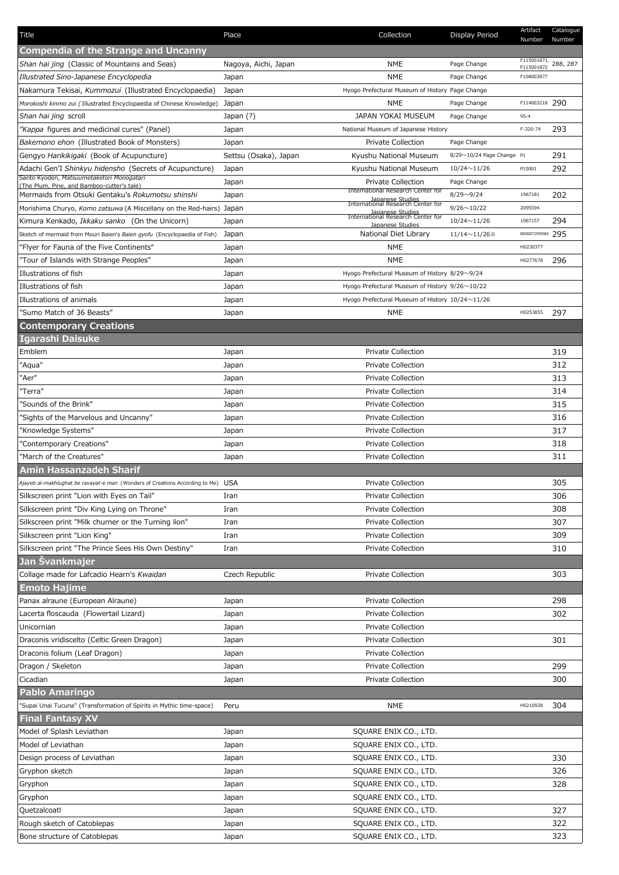| Title                                                                                          | Place                 | Collection                                            | Display Period            | Artifact<br>Number                | Catalogue<br>Number |
|------------------------------------------------------------------------------------------------|-----------------------|-------------------------------------------------------|---------------------------|-----------------------------------|---------------------|
| <b>Compendia of the Strange and Uncanny</b>                                                    |                       |                                                       |                           |                                   |                     |
| Shan hai jing (Classic of Mountains and Seas)                                                  | Nagoya, Aichi, Japan  | <b>NME</b>                                            | Page Change               | $\frac{1}{5115001871}$ , 288, 287 |                     |
| Illustrated Sino-Japanese Encyclopedia                                                         | Japan                 | <b>NME</b>                                            | Page Change               | F108003877                        |                     |
| Nakamura Tekisai, Kummozui (Illustrated Encyclopaedia)                                         | Japan                 | Hyogo Prefectural Museum of History Page Change       |                           |                                   |                     |
| Morokoshi kinmo zui (Illustrated Encyclopaedia of Chinese Knowledge)                           | Japan                 | <b>NME</b>                                            | Page Change               | F114003218 290                    |                     |
| Shan hai jing scroll                                                                           | Japan (?)             | JAPAN YOKAI MUSEUM                                    | Page Change               | $95 - 4$                          |                     |
| "Kappa figures and medicinal cures" (Panel)                                                    | Japan                 | National Museum of Japanese History                   |                           | F-320-74                          | 293                 |
| Bakemono ehon (Illustrated Book of Monsters)                                                   | Japan                 | Private Collection                                    | Page Change               |                                   |                     |
| Gengyo Harikikigaki (Book of Acupuncture)                                                      | Settsu (Osaka), Japan | Kyushu National Museum                                | 8/29~10/24 Page Change P1 |                                   | 291                 |
| Adachi Gen'I Shinkyu hidensho (Secrets of Acupuncture)                                         | Japan                 | Kyushu National Museum                                | $10/24 \sim 11/26$        | P15001                            | 292                 |
| Santo Kyoden, Matsuumetaketori Monogatari                                                      | Japan                 | Private Collection                                    | Page Change               |                                   |                     |
| (The Plum. Pine. and Bamboo-cutter's tale)<br>Mermaids from Otsuki Gentaku's Rokumotsu shinshi | Japan                 | International Research Center for                     | $8/29 \sim 9/24$          | 1967181                           | 202                 |
| Morishima Churyo, Komo zatsuwa (A Miscellany on the Red-hairs) Japan                           |                       | Japanese Studies<br>International Research Center for | $9/26 \sim 10/22$         | 2095594                           |                     |
| Kimura Kenkado, Ikkaku sanko (On the Unicorn)                                                  | Japan                 | Japanese Studies<br>International Research Center for | $10/24 \sim 11/26$        | 1967157                           | 294                 |
| Sketch of mermaid from Mouri Baien's Baien gyofu (Encyclopaedia of Fish)                       | Japan                 | Japanese Studies<br>National Diet Library             | $11/14 \sim 11/26$        | 000007295984                      | 295                 |
| "Flver for Fauna of the Five Continents"                                                       | Japan                 | <b>NME</b>                                            |                           | H0230377                          |                     |
| "Tour of Islands with Strange Peoples"                                                         | Japan                 | <b>NME</b>                                            |                           | H0277678                          | 296                 |
| Illustrations of fish                                                                          | Japan                 | Hyogo Prefectural Museum of History 8/29~9/24         |                           |                                   |                     |
| Illustrations of fish                                                                          | Japan                 | Hyogo Prefectural Museum of History 9/26~10/22        |                           |                                   |                     |
| Illustrations of animals                                                                       |                       | Hyogo Prefectural Museum of History 10/24~11/26       |                           |                                   |                     |
| "Sumo Match of 36 Beasts"                                                                      | Japan                 | NME                                                   |                           | H0253855                          | 297                 |
|                                                                                                | Japan                 |                                                       |                           |                                   |                     |
| <b>Contemporary Creations</b>                                                                  |                       |                                                       |                           |                                   |                     |
| Igarashi Daisuke                                                                               |                       |                                                       |                           |                                   |                     |
| Emblem                                                                                         | Japan                 | <b>Private Collection</b>                             |                           |                                   | 319                 |
| "Aqua"                                                                                         | Japan                 | <b>Private Collection</b>                             |                           |                                   | 312                 |
| "Aer"                                                                                          | Japan                 | <b>Private Collection</b>                             |                           |                                   | 313                 |
| "Terra"                                                                                        | Japan                 | <b>Private Collection</b>                             |                           |                                   | 314                 |
| "Sounds of the Brink"                                                                          | Japan                 | <b>Private Collection</b>                             |                           |                                   | 315                 |
| "Sights of the Marvelous and Uncanny"                                                          | Japan                 | <b>Private Collection</b>                             |                           |                                   | 316                 |
| "Knowledge Systems"                                                                            | Japan                 | <b>Private Collection</b>                             |                           |                                   | 317                 |
| "Contemporary Creations"                                                                       | Japan                 | Private Collection                                    |                           |                                   | 318                 |
| "March of the Creatures"                                                                       | Japan                 | Private Collection                                    |                           |                                   | 311                 |
| Amin Hassanzadeh Sharif                                                                        |                       |                                                       |                           |                                   |                     |
| Ajayeb al-makhlughat be ravayat-e man (Wonders of Creations According to Me) USA               |                       | Private Collection                                    |                           |                                   | 305                 |
| Silkscreen print "Lion with Eyes on Tail"                                                      | Iran                  | Private Collection                                    |                           |                                   | 306                 |
| Silkscreen print "Div King Lying on Throne"                                                    | Iran                  | <b>Private Collection</b>                             |                           |                                   | 308                 |
| Silkscreen print "Milk churner or the Turning lion"                                            | Iran                  | <b>Private Collection</b>                             |                           |                                   | 307                 |
| Silkscreen print "Lion King"                                                                   | Iran                  | Private Collection                                    |                           |                                   | 309                 |
| Silkscreen print "The Prince Sees His Own Destiny"                                             | Iran                  | <b>Private Collection</b>                             |                           |                                   | 310                 |
| Jan Svankmajer                                                                                 |                       |                                                       |                           |                                   |                     |
| Collage made for Lafcadio Hearn's Kwaidan                                                      | Czech Republic        | <b>Private Collection</b>                             |                           |                                   | 303                 |
| <b>Emoto Hajime</b>                                                                            |                       |                                                       |                           |                                   |                     |
| Panax alraune (European Alraune)                                                               | Japan                 | Private Collection                                    |                           |                                   | 298                 |
| Lacerta floscauda (Flowertail Lizard)                                                          | Japan                 | Private Collection                                    |                           |                                   | 302                 |
| Unicornian                                                                                     | Japan                 | Private Collection                                    |                           |                                   |                     |
| Draconis vridiscelto (Celtic Green Dragon)                                                     | Japan                 | <b>Private Collection</b>                             |                           |                                   | 301                 |
| Draconis folium (Leaf Dragon)                                                                  | Japan                 | Private Collection                                    |                           |                                   |                     |
| Dragon / Skeleton                                                                              | Japan                 | <b>Private Collection</b>                             |                           |                                   | 299                 |
| Cicadian                                                                                       | Japan                 | Private Collection                                    |                           |                                   | 300                 |
| <b>Pablo Amaringo</b>                                                                          |                       |                                                       |                           |                                   |                     |
| "Supai Unai Tucuna" (Transformation of Spirits in Mythic time-space)                           | Peru                  | <b>NME</b>                                            |                           | H0210928                          | 304                 |
| <b>Final Fantasy XV</b>                                                                        |                       |                                                       |                           |                                   |                     |
| Model of Splash Leviathan                                                                      | Japan                 | SQUARE ENIX CO., LTD.                                 |                           |                                   |                     |
| Model of Leviathan                                                                             | Japan                 | SQUARE ENIX CO., LTD.                                 |                           |                                   |                     |
| Design process of Leviathan                                                                    | Japan                 | SQUARE ENIX CO., LTD.                                 |                           |                                   | 330                 |
| Gryphon sketch                                                                                 | Japan                 | SQUARE ENIX CO., LTD.                                 |                           |                                   | 326                 |
| Gryphon                                                                                        | Japan                 | SQUARE ENIX CO., LTD.                                 |                           |                                   | 328                 |
| Gryphon                                                                                        | Japan                 | SQUARE ENIX CO., LTD.                                 |                           |                                   |                     |
| Quetzalcoatl                                                                                   | Japan                 | SQUARE ENIX CO., LTD.                                 |                           |                                   | 327                 |
| Rough sketch of Catoblepas                                                                     | Japan                 | SQUARE ENIX CO., LTD.                                 |                           |                                   | 322                 |
| Bone structure of Catoblepas                                                                   | Japan                 | SQUARE ENIX CO., LTD.                                 |                           |                                   | 323                 |